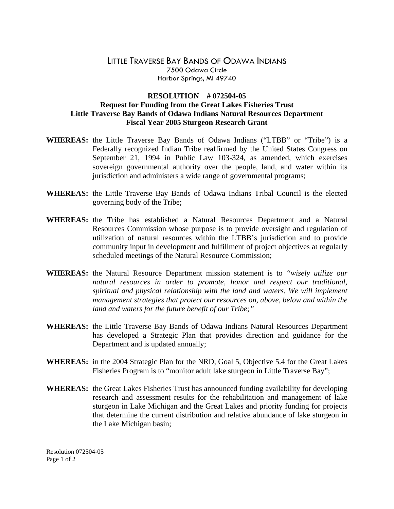## LITTLE TRAVERSE BAY BANDS OF ODAWA INDIANS 7500 Odawa Circle Harbor Springs, MI 49740

## **RESOLUTION # 072504-05 Request for Funding from the Great Lakes Fisheries Trust Little Traverse Bay Bands of Odawa Indians Natural Resources Department Fiscal Year 2005 Sturgeon Research Grant**

- **WHEREAS:** the Little Traverse Bay Bands of Odawa Indians ("LTBB" or "Tribe") is a Federally recognized Indian Tribe reaffirmed by the United States Congress on September 21, 1994 in Public Law 103-324, as amended, which exercises sovereign governmental authority over the people, land, and water within its jurisdiction and administers a wide range of governmental programs;
- **WHEREAS:** the Little Traverse Bay Bands of Odawa Indians Tribal Council is the elected governing body of the Tribe;
- **WHEREAS:** the Tribe has established a Natural Resources Department and a Natural Resources Commission whose purpose is to provide oversight and regulation of utilization of natural resources within the LTBB's jurisdiction and to provide community input in development and fulfillment of project objectives at regularly scheduled meetings of the Natural Resource Commission;
- **WHEREAS:** the Natural Resource Department mission statement is to *"wisely utilize our natural resources in order to promote, honor and respect our traditional, spiritual and physical relationship with the land and waters. We will implement management strategies that protect our resources on, above, below and within the land and waters for the future benefit of our Tribe;"*
- **WHEREAS:** the Little Traverse Bay Bands of Odawa Indians Natural Resources Department has developed a Strategic Plan that provides direction and guidance for the Department and is updated annually;
- **WHEREAS:** in the 2004 Strategic Plan for the NRD, Goal 5, Objective 5.4 for the Great Lakes Fisheries Program is to "monitor adult lake sturgeon in Little Traverse Bay";
- **WHEREAS:** the Great Lakes Fisheries Trust has announced funding availability for developing research and assessment results for the rehabilitation and management of lake sturgeon in Lake Michigan and the Great Lakes and priority funding for projects that determine the current distribution and relative abundance of lake sturgeon in the Lake Michigan basin;

Resolution 072504-05 Page 1 of 2